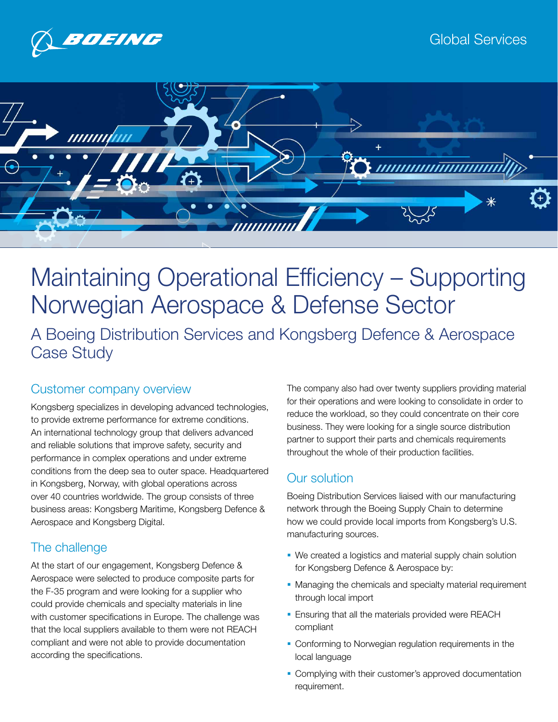



# Maintaining Operational Efficiency – Supporting Norwegian Aerospace & Defense Sector A Boeing Distribution Services and Kongsberg Defence & Aerospace

Case Study

## Customer company overview

Kongsberg specializes in developing advanced technologies, to provide extreme performance for extreme conditions. An international technology group that delivers advanced and reliable solutions that improve safety, security and performance in complex operations and under extreme conditions from the deep sea to outer space. Headquartered in Kongsberg, Norway, with global operations across over 40 countries worldwide. The group consists of three business areas: Kongsberg Maritime, Kongsberg Defence & Aerospace and Kongsberg Digital.

## The challenge

At the start of our engagement, Kongsberg Defence & Aerospace were selected to produce composite parts for the F-35 program and were looking for a supplier who could provide chemicals and specialty materials in line with customer specifications in Europe. The challenge was that the local suppliers available to them were not REACH compliant and were not able to provide documentation according the specifications.

The company also had over twenty suppliers providing material for their operations and were looking to consolidate in order to reduce the workload, so they could concentrate on their core business. They were looking for a single source distribution partner to support their parts and chemicals requirements throughout the whole of their production facilities.

## Our solution

Boeing Distribution Services liaised with our manufacturing network through the Boeing Supply Chain to determine how we could provide local imports from Kongsberg's U.S. manufacturing sources.

- We created a logistics and material supply chain solution for Kongsberg Defence & Aerospace by:
- Managing the chemicals and specialty material requirement through local import
- **Ensuring that all the materials provided were REACH** compliant
- Conforming to Norwegian regulation requirements in the local language
- Complying with their customer's approved documentation requirement.